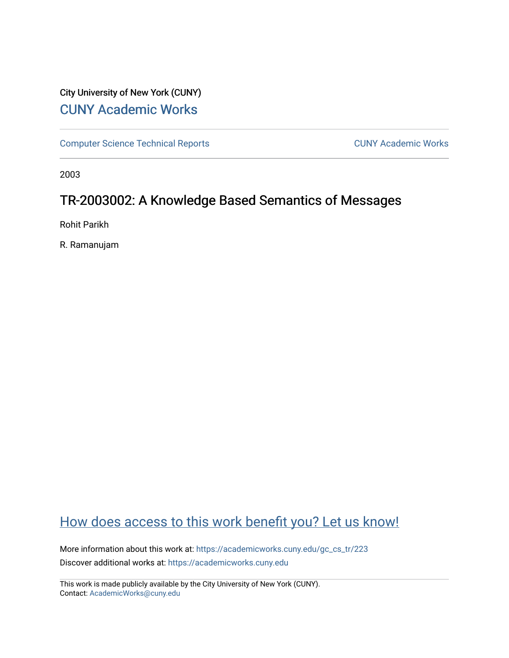## City University of New York (CUNY) [CUNY Academic Works](https://academicworks.cuny.edu/)

[Computer Science Technical Reports](https://academicworks.cuny.edu/gc_cs_tr) **CUNY Academic Works** CUNY Academic Works

2003

## TR-2003002: A Knowledge Based Semantics of Messages

Rohit Parikh

R. Ramanujam

## [How does access to this work benefit you? Let us know!](http://ols.cuny.edu/academicworks/?ref=https://academicworks.cuny.edu/gc_cs_tr/223)

More information about this work at: [https://academicworks.cuny.edu/gc\\_cs\\_tr/223](https://academicworks.cuny.edu/gc_cs_tr/223)  Discover additional works at: [https://academicworks.cuny.edu](https://academicworks.cuny.edu/?)

This work is made publicly available by the City University of New York (CUNY). Contact: [AcademicWorks@cuny.edu](mailto:AcademicWorks@cuny.edu)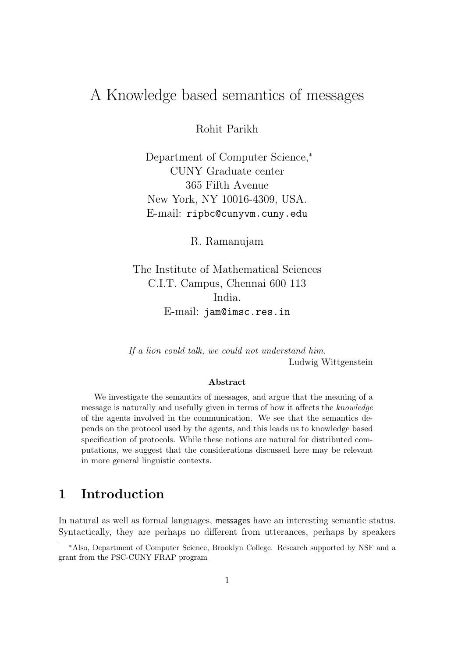# A Knowledge based semantics of messages

Rohit Parikh

Department of Computer Science,<sup>∗</sup> CUNY Graduate center 365 Fifth Avenue New York, NY 10016-4309, USA. E-mail: ripbc@cunyvm.cuny.edu

R. Ramanujam

The Institute of Mathematical Sciences C.I.T. Campus, Chennai 600 113 India. E-mail: jam@imsc.res.in

If a lion could talk, we could not understand him. Ludwig Wittgenstein

#### Abstract

We investigate the semantics of messages, and argue that the meaning of a message is naturally and usefully given in terms of how it affects the knowledge of the agents involved in the communication. We see that the semantics depends on the protocol used by the agents, and this leads us to knowledge based specification of protocols. While these notions are natural for distributed computations, we suggest that the considerations discussed here may be relevant in more general linguistic contexts.

### 1 Introduction

In natural as well as formal languages, messages have an interesting semantic status. Syntactically, they are perhaps no different from utterances, perhaps by speakers

<sup>∗</sup>Also, Department of Computer Science, Brooklyn College. Research supported by NSF and a grant from the PSC-CUNY FRAP program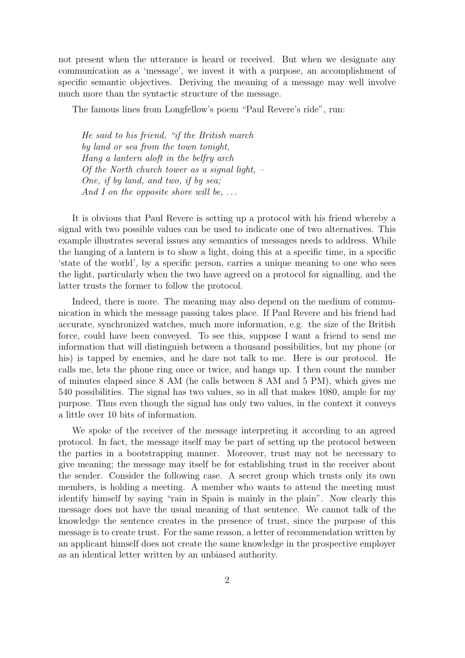not present when the utterance is heard or received. But when we designate any communication as a 'message', we invest it with a purpose, an accomplishment of specific semantic objectives. Deriving the meaning of a message may well involve much more than the syntactic structure of the message.

The famous lines from Longfellow's poem "Paul Revere's ride", run:

He said to his friend, "if the British march by land or sea from the town tonight, Hang a lantern aloft in the belfry arch Of the North church tower as a signal light,  $-$ One, if by land, and two, if by sea; And I on the opposite shore will be,  $\dots$ 

It is obvious that Paul Revere is setting up a protocol with his friend whereby a signal with two possible values can be used to indicate one of two alternatives. This example illustrates several issues any semantics of messages needs to address. While the hanging of a lantern is to show a light, doing this at a specific time, in a specific 'state of the world', by a specific person, carries a unique meaning to one who sees the light, particularly when the two have agreed on a protocol for signalling, and the latter trusts the former to follow the protocol.

Indeed, there is more. The meaning may also depend on the medium of communication in which the message passing takes place. If Paul Revere and his friend had accurate, synchronized watches, much more information, e.g. the size of the British force, could have been conveyed. To see this, suppose I want a friend to send me information that will distinguish between a thousand possibilities, but my phone (or his) is tapped by enemies, and he dare not talk to me. Here is our protocol. He calls me, lets the phone ring once or twice, and hangs up. I then count the number of minutes elapsed since 8 AM (he calls between 8 AM and 5 PM), which gives me 540 possibilities. The signal has two values, so in all that makes 1080, ample for my purpose. Thus even though the signal has only two values, in the context it conveys a little over 10 bits of information.

We spoke of the receiver of the message interpreting it according to an agreed protocol. In fact, the message itself may be part of setting up the protocol between the parties in a bootstrapping manner. Moreover, trust may not be necessary to give meaning; the message may itself be for establishing trust in the receiver about the sender. Consider the following case. A secret group which trusts only its own members, is holding a meeting. A member who wants to attend the meeting must identify himself by saying "rain in Spain is mainly in the plain". Now clearly this message does not have the usual meaning of that sentence. We cannot talk of the knowledge the sentence creates in the presence of trust, since the purpose of this message is to create trust. For the same reason, a letter of recommendation written by an applicant himself does not create the same knowledge in the prospective employer as an identical letter written by an unbiased authority.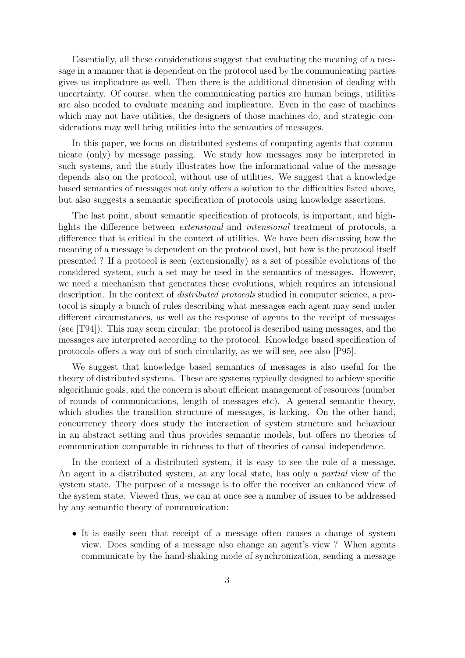Essentially, all these considerations suggest that evaluating the meaning of a message in a manner that is dependent on the protocol used by the communicating parties gives us implicature as well. Then there is the additional dimension of dealing with uncertainty. Of course, when the communicating parties are human beings, utilities are also needed to evaluate meaning and implicature. Even in the case of machines which may not have utilities, the designers of those machines do, and strategic considerations may well bring utilities into the semantics of messages.

In this paper, we focus on distributed systems of computing agents that communicate (only) by message passing. We study how messages may be interpreted in such systems, and the study illustrates how the informational value of the message depends also on the protocol, without use of utilities. We suggest that a knowledge based semantics of messages not only offers a solution to the difficulties listed above, but also suggests a semantic specification of protocols using knowledge assertions.

The last point, about semantic specification of protocols, is important, and highlights the difference between extensional and intensional treatment of protocols, a difference that is critical in the context of utilities. We have been discussing how the meaning of a message is dependent on the protocol used, but how is the protocol itself presented ? If a protocol is seen (extensionally) as a set of possible evolutions of the considered system, such a set may be used in the semantics of messages. However, we need a mechanism that generates these evolutions, which requires an intensional description. In the context of *distributed protocols* studied in computer science, a protocol is simply a bunch of rules describing what messages each agent may send under different circumstances, as well as the response of agents to the receipt of messages (see [T94]). This may seem circular: the protocol is described using messages, and the messages are interpreted according to the protocol. Knowledge based specification of protocols offers a way out of such circularity, as we will see, see also [P95].

We suggest that knowledge based semantics of messages is also useful for the theory of distributed systems. These are systems typically designed to achieve specific algorithmic goals, and the concern is about efficient management of resources (number of rounds of communications, length of messages etc). A general semantic theory, which studies the transition structure of messages, is lacking. On the other hand, concurrency theory does study the interaction of system structure and behaviour in an abstract setting and thus provides semantic models, but offers no theories of communication comparable in richness to that of theories of causal independence.

In the context of a distributed system, it is easy to see the role of a message. An agent in a distributed system, at any local state, has only a partial view of the system state. The purpose of a message is to offer the receiver an enhanced view of the system state. Viewed thus, we can at once see a number of issues to be addressed by any semantic theory of communication:

• It is easily seen that receipt of a message often causes a change of system view. Does sending of a message also change an agent's view ? When agents communicate by the hand-shaking mode of synchronization, sending a message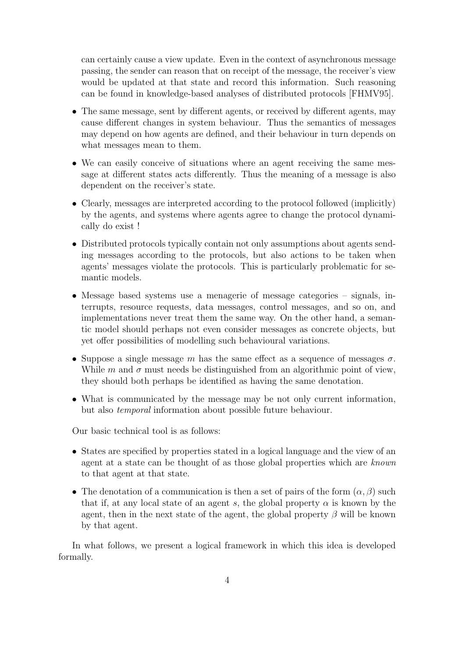can certainly cause a view update. Even in the context of asynchronous message passing, the sender can reason that on receipt of the message, the receiver's view would be updated at that state and record this information. Such reasoning can be found in knowledge-based analyses of distributed protocols [FHMV95].

- The same message, sent by different agents, or received by different agents, may cause different changes in system behaviour. Thus the semantics of messages may depend on how agents are defined, and their behaviour in turn depends on what messages mean to them.
- We can easily conceive of situations where an agent receiving the same message at different states acts differently. Thus the meaning of a message is also dependent on the receiver's state.
- Clearly, messages are interpreted according to the protocol followed (implicitly) by the agents, and systems where agents agree to change the protocol dynamically do exist !
- Distributed protocols typically contain not only assumptions about agents sending messages according to the protocols, but also actions to be taken when agents' messages violate the protocols. This is particularly problematic for semantic models.
- Message based systems use a menagerie of message categories signals, interrupts, resource requests, data messages, control messages, and so on, and implementations never treat them the same way. On the other hand, a semantic model should perhaps not even consider messages as concrete objects, but yet offer possibilities of modelling such behavioural variations.
- Suppose a single message m has the same effect as a sequence of messages  $\sigma$ . While m and  $\sigma$  must needs be distinguished from an algorithmic point of view, they should both perhaps be identified as having the same denotation.
- What is communicated by the message may be not only current information, but also temporal information about possible future behaviour.

Our basic technical tool is as follows:

- States are specified by properties stated in a logical language and the view of an agent at a state can be thought of as those global properties which are known to that agent at that state.
- The denotation of a communication is then a set of pairs of the form  $(\alpha, \beta)$  such that if, at any local state of an agent s, the global property  $\alpha$  is known by the agent, then in the next state of the agent, the global property  $\beta$  will be known by that agent.

In what follows, we present a logical framework in which this idea is developed formally.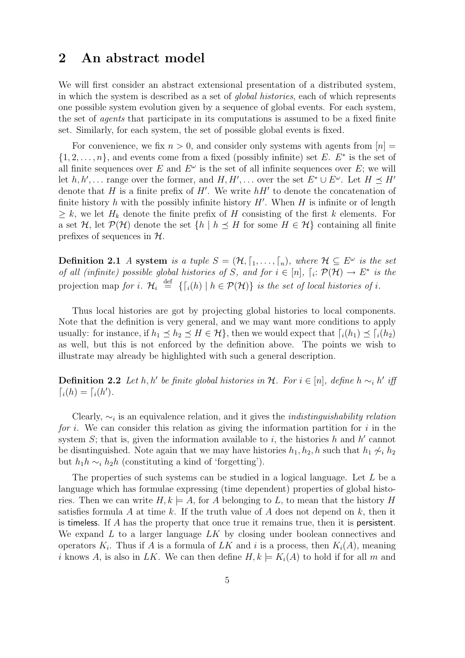### 2 An abstract model

We will first consider an abstract extensional presentation of a distributed system, in which the system is described as a set of global histories, each of which represents one possible system evolution given by a sequence of global events. For each system, the set of agents that participate in its computations is assumed to be a fixed finite set. Similarly, for each system, the set of possible global events is fixed.

For convenience, we fix  $n > 0$ , and consider only systems with agents from  $[n] =$  $\{1, 2, \ldots, n\}$ , and events come from a fixed (possibly infinite) set E. E<sup>\*</sup> is the set of all finite sequences over E and  $E^{\omega}$  is the set of all infinite sequences over E; we will let  $h, h', \ldots$  range over the former, and  $H, H', \ldots$  over the set  $E^* \cup E^\omega$ . Let  $H \preceq H'$ denote that H is a finite prefix of  $H'$ . We write  $hH'$  to denote the concatenation of finite history  $h$  with the possibly infinite history  $H'$ . When  $H$  is infinite or of length  $\geq k$ , we let  $H_k$  denote the finite prefix of H consisting of the first k elements. For a set  $\mathcal{H}$ , let  $\mathcal{P}(\mathcal{H})$  denote the set  $\{h \mid h \preceq H \text{ for some } H \in \mathcal{H}\}\)$  containing all finite prefixes of sequences in  $H$ .

**Definition 2.1** A system is a tuple  $S = (\mathcal{H}, \lceil_1, \ldots, \lceil_n \rceil)$ , where  $\mathcal{H} \subseteq E^{\omega}$  is the set of all (infinite) possible global histories of S, and for  $i \in [n]$ ,  $[i: \mathcal{P}(\mathcal{H}) \to E^*$  is the projection map for i.  $\mathcal{H}_i \stackrel{\text{def}}{=} \{ \lceil_i(h) \rceil \ h \in \mathcal{P}(\mathcal{H}) \}$  is the set of local histories of i.

Thus local histories are got by projecting global histories to local components. Note that the definition is very general, and we may want more conditions to apply usually: for instance, if  $h_1 \leq h_2 \leq H \in \mathcal{H}$ , then we would expect that  $\lceil i(h_1) \preceq \lceil i(h_2) \rceil$ as well, but this is not enforced by the definition above. The points we wish to illustrate may already be highlighted with such a general description.

**Definition 2.2** Let h, h' be finite global histories in H. For  $i \in [n]$ , define  $h \sim_i h'$  iff  $a_i(h) = a_i(h').$ 

Clearly,  $\sim_i$  is an equivalence relation, and it gives the *indistinguishability relation* for i. We can consider this relation as giving the information partition for i in the system  $S$ ; that is, given the information available to i, the histories  $h$  and  $h'$  cannot be disntinguished. Note again that we may have histories  $h_1, h_2, h$  such that  $h_1 \not\sim_i h_2$ but  $h_1h \sim_i h_2h$  (constituting a kind of 'forgetting').

The properties of such systems can be studied in a logical language. Let L be a language which has formulae expressing (time dependent) properties of global histories. Then we can write  $H, k \models A$ , for A belonging to L, to mean that the history H satisfies formula A at time k. If the truth value of A does not depend on  $k$ , then it is timeless. If A has the property that once true it remains true, then it is persistent. We expand  $L$  to a larger language  $LK$  by closing under boolean connectives and operators  $K_i$ . Thus if A is a formula of LK and i is a process, then  $K_i(A)$ , meaning i knows A, is also in LK. We can then define  $H, k \models K_i(A)$  to hold if for all m and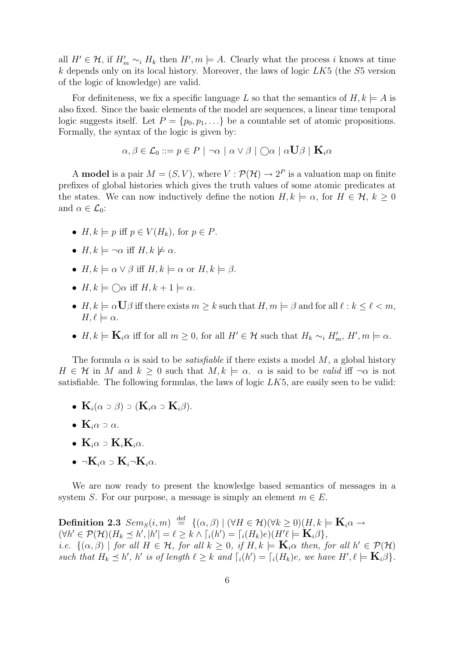all  $H' \in \mathcal{H}$ , if  $H'_m \sim_i H_k$  then  $H', m \models A$ . Clearly what the process i knows at time  $k$  depends only on its local history. Moreover, the laws of logic  $LK5$  (the  $S5$  version of the logic of knowledge) are valid.

For definiteness, we fix a specific language L so that the semantics of  $H, k \models A$  is also fixed. Since the basic elements of the model are sequences, a linear time temporal logic suggests itself. Let  $P = \{p_0, p_1, \ldots\}$  be a countable set of atomic propositions. Formally, the syntax of the logic is given by:

$$
\alpha, \beta \in \mathcal{L}_0 ::= p \in P \mid \neg \alpha \mid \alpha \vee \beta \mid \bigcirc \alpha \mid \alpha \mathbf{U}\beta \mid \mathbf{K}_i \alpha
$$

A **model** is a pair  $M = (S, V)$ , where  $V : \mathcal{P}(\mathcal{H}) \to 2^P$  is a valuation map on finite prefixes of global histories which gives the truth values of some atomic predicates at the states. We can now inductively define the notion  $H, k \models \alpha$ , for  $H \in \mathcal{H}, k > 0$ and  $\alpha \in \mathcal{L}_0$ :

- $H, k \models p$  iff  $p \in V(H_k)$ , for  $p \in P$ .
- $H, k \models \neg \alpha$  iff  $H, k \not\models \alpha$ .
- $H, k \models \alpha \vee \beta$  iff  $H, k \models \alpha$  or  $H, k \models \beta$ .
- $H, k \models \bigcirc \alpha$  iff  $H, k + 1 \models \alpha$ .
- $H, k \models \alpha \mathbf{U}\beta$  iff there exists  $m \geq k$  such that  $H, m \models \beta$  and for all  $\ell : k \leq \ell < m$ ,  $H, \ell \models \alpha.$
- $H, k \models \mathbf{K}_i \alpha$  iff for all  $m \geq 0$ , for all  $H' \in \mathcal{H}$  such that  $H_k \sim_i H'_m$ ,  $H', m \models \alpha$ .

The formula  $\alpha$  is said to be *satisfiable* if there exists a model M, a global history  $H \in \mathcal{H}$  in M and  $k \geq 0$  such that  $M, k \models \alpha$ .  $\alpha$  is said to be valid iff  $\neg \alpha$  is not satisfiable. The following formulas, the laws of logic  $LK5$ , are easily seen to be valid:

- ${\bf K}_i(\alpha \supset \beta) \supset ({\bf K}_i \alpha \supset {\bf K}_i \beta).$
- $\mathbf{K}_{i}\alpha \supset \alpha$ .
- ${\bf K}_{i}\alpha \supset {\bf K}_{i}{\bf K}_{i}\alpha$ .
- $\neg K_i \alpha \supset K_i \neg K_i \alpha$ .

We are now ready to present the knowledge based semantics of messages in a system S. For our purpose, a message is simply an element  $m \in E$ .

 $\textbf{Definition 2.3} \ \textit{Sem}_S(i, m) \ \stackrel{\text{def}}{=} \ \{(\alpha, \beta) \ | \ (\forall H \in \mathcal{H}) (\forall k \geq 0) (H, k \models \mathbf{K}_i \alpha \rightarrow 0) \}$  $(\forall h' \in \mathcal{P}(\mathcal{H})(H_k \preceq h', |h'| = \ell \geq k \wedge [i(h') = [i(H_k)e)(H'\ell \models \mathbf{K}_i\beta],$ *i.e.*  $\{(\alpha, \beta) \mid \text{for all } H \in \mathcal{H}, \text{ for all } k \geq 0, \text{ if } H, k \models \mathbf{K}_i \alpha \text{ then, for all } h' \in \mathcal{P}(\mathcal{H})\}$ such that  $H_k \preceq h'$ ,  $h'$  is of length  $\ell \geq k$  and  $\lceil \frac{1}{h} \right] = \lceil \frac{1}{h(k)} \right]$ , we have  $H', \ell \models \mathbf{K}_i \beta$ .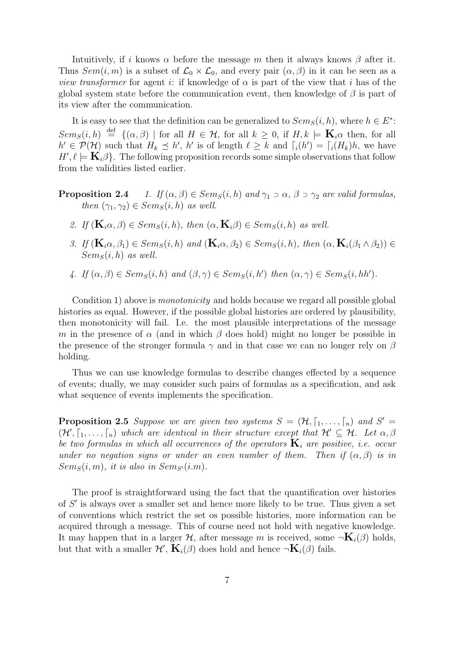Intuitively, if i knows  $\alpha$  before the message m then it always knows  $\beta$  after it. Thus  $Sem(i, m)$  is a subset of  $\mathcal{L}_0 \times \mathcal{L}_0$ , and every pair  $(\alpha, \beta)$  in it can be seen as a *view transformer* for agent *i*: if knowledge of  $\alpha$  is part of the view that *i* has of the global system state before the communication event, then knowledge of  $\beta$  is part of its view after the communication.

It is easy to see that the definition can be generalized to  $Sem_S(i, h)$ , where  $h \in E^*$ :  $Sem_S(i, h) \stackrel{\text{def}}{=} \{(\alpha, \beta) \mid \text{for all } H \in \mathcal{H}, \text{ for all } k \geq 0, \text{ if } H, k \models \mathbf{K}_i \alpha \text{ then, for all }$  $h' \in \mathcal{P}(\mathcal{H})$  such that  $H_k \preceq h'$ , h' is of length  $\ell \geq k$  and  $\lceil i(h') \rceil = \lceil i(H_k)h$ , we have  $H', \ell \models \mathbf{K}_i \beta$ . The following proposition records some simple observations that follow from the validities listed earlier.

- **Proposition 2.4** 1. If  $(\alpha, \beta) \in Sem_S(i, h)$  and  $\gamma_1 \supset \alpha$ ,  $\beta \supset \gamma_2$  are valid formulas, then  $(\gamma_1, \gamma_2) \in Sem_S(i, h)$  as well.
	- 2. If  $(\mathbf{K}_i \alpha, \beta) \in Sem_S(i, h)$ , then  $(\alpha, \mathbf{K}_i \beta) \in Sem_S(i, h)$  as well.
	- 3. If  $(\mathbf{K}_i \alpha, \beta_1) \in Sem_S(i, h)$  and  $(\mathbf{K}_i \alpha, \beta_2) \in Sem_S(i, h)$ , then  $(\alpha, \mathbf{K}_i(\beta_1 \wedge \beta_2)) \in$  $Sem<sub>S</sub>(i, h)$  as well.
	- 4. If  $(\alpha, \beta) \in Sem_S(i, h)$  and  $(\beta, \gamma) \in Sem_S(i, h')$  then  $(\alpha, \gamma) \in Sem_S(i, hh')$ .

Condition 1) above is *monotonicity* and holds because we regard all possible global histories as equal. However, if the possible global histories are ordered by plausibility, then monotonicity will fail. I.e. the most plausible interpretations of the message m in the presence of  $\alpha$  (and in which  $\beta$  does hold) might no longer be possible in the presence of the stronger formula  $\gamma$  and in that case we can no longer rely on  $\beta$ holding.

Thus we can use knowledge formulas to describe changes effected by a sequence of events; dually, we may consider such pairs of formulas as a specification, and ask what sequence of events implements the specification.

**Proposition 2.5** Suppose we are given two systems  $S = (\mathcal{H}, \lceil_1, \ldots, \lceil_n)$  and  $S' =$  $(\mathcal{H}', [1, \ldots, [n])$  which are identical in their structure except that  $\mathcal{H}' \subseteq \mathcal{H}$ . Let  $\alpha, \beta$ be two formulas in which all occurrences of the operators  $\mathbf{K}_i$  are positive, i.e. occur under no negation signs or under an even number of them. Then if  $(\alpha, \beta)$  is in  $Sems(i, m)$ , it is also in  $Sems(i, m)$ .

The proof is straightforward using the fact that the quantification over histories of  $S'$  is always over a smaller set and hence more likely to be true. Thus given a set of conventions which restrict the set os possible histories, more information can be acquired through a message. This of course need not hold with negative knowledge. It may happen that in a larger H, after message m is received, some  $\neg K_i(\beta)$  holds, but that with a smaller  $\mathcal{H}', \, \mathbf{K}_i(\beta)$  does hold and hence  $\neg \mathbf{K}_i(\beta)$  fails.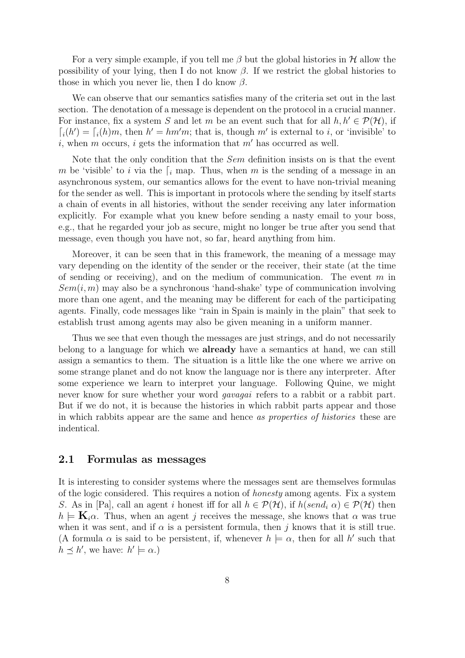For a very simple example, if you tell me  $\beta$  but the global histories in H allow the possibility of your lying, then I do not know  $\beta$ . If we restrict the global histories to those in which you never lie, then I do know  $\beta$ .

We can observe that our semantics satisfies many of the criteria set out in the last section. The denotation of a message is dependent on the protocol in a crucial manner. For instance, fix a system S and let m be an event such that for all  $h, h' \in \mathcal{P}(\mathcal{H})$ , if  $\lceil i(h') \rceil = \lceil i(h)m$ , then  $h' = hm'm$ ; that is, though m' is external to i, or 'invisible' to i, when m occurs, i gets the information that  $m'$  has occurred as well.

Note that the only condition that the *Sem* definition insists on is that the event m be 'visible' to i via the  $\lceil i \rceil$  map. Thus, when m is the sending of a message in an asynchronous system, our semantics allows for the event to have non-trivial meaning for the sender as well. This is important in protocols where the sending by itself starts a chain of events in all histories, without the sender receiving any later information explicitly. For example what you knew before sending a nasty email to your boss, e.g., that he regarded your job as secure, might no longer be true after you send that message, even though you have not, so far, heard anything from him.

Moreover, it can be seen that in this framework, the meaning of a message may vary depending on the identity of the sender or the receiver, their state (at the time of sending or receiving), and on the medium of communication. The event  $m$  in  $Sem(i, m)$  may also be a synchronous 'hand-shake' type of communication involving more than one agent, and the meaning may be different for each of the participating agents. Finally, code messages like "rain in Spain is mainly in the plain" that seek to establish trust among agents may also be given meaning in a uniform manner.

Thus we see that even though the messages are just strings, and do not necessarily belong to a language for which we **already** have a semantics at hand, we can still assign a semantics to them. The situation is a little like the one where we arrive on some strange planet and do not know the language nor is there any interpreter. After some experience we learn to interpret your language. Following Quine, we might never know for sure whether your word *gavagai* refers to a rabbit or a rabbit part. But if we do not, it is because the histories in which rabbit parts appear and those in which rabbits appear are the same and hence as properties of histories these are indentical.

#### 2.1 Formulas as messages

It is interesting to consider systems where the messages sent are themselves formulas of the logic considered. This requires a notion of honesty among agents. Fix a system S. As in [Pa], call an agent i honest iff for all  $h \in \mathcal{P}(\mathcal{H})$ , if  $h(send_i \alpha) \in \mathcal{P}(\mathcal{H})$  then  $h \models \mathbf{K}_i \alpha$ . Thus, when an agent j receives the message, she knows that  $\alpha$  was true when it was sent, and if  $\alpha$  is a persistent formula, then j knows that it is still true. (A formula  $\alpha$  is said to be persistent, if, whenever  $h \models \alpha$ , then for all h' such that  $h \preceq h'$ , we have:  $h' \models \alpha$ .)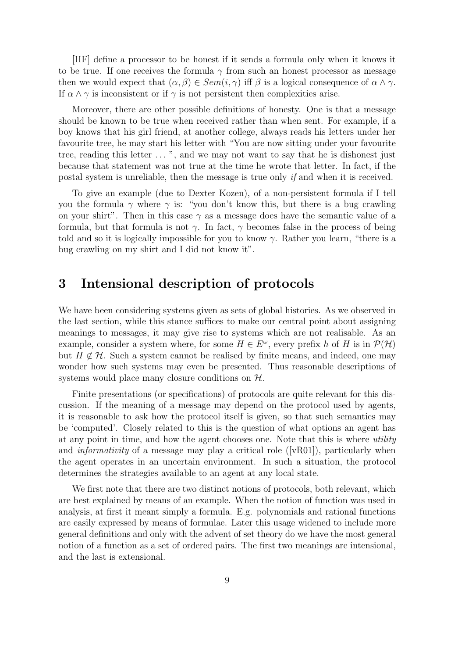[HF] define a processor to be honest if it sends a formula only when it knows it to be true. If one receives the formula  $\gamma$  from such an honest processor as message then we would expect that  $(\alpha, \beta) \in Sem(i, \gamma)$  iff  $\beta$  is a logical consequence of  $\alpha \wedge \gamma$ . If  $\alpha \wedge \gamma$  is inconsistent or if  $\gamma$  is not persistent then complexities arise.

Moreover, there are other possible definitions of honesty. One is that a message should be known to be true when received rather than when sent. For example, if a boy knows that his girl friend, at another college, always reads his letters under her favourite tree, he may start his letter with "You are now sitting under your favourite tree, reading this letter ...", and we may not want to say that he is dishonest just because that statement was not true at the time he wrote that letter. In fact, if the postal system is unreliable, then the message is true only if and when it is received.

To give an example (due to Dexter Kozen), of a non-persistent formula if I tell you the formula  $\gamma$  where  $\gamma$  is: "you don't know this, but there is a bug crawling on your shirt". Then in this case  $\gamma$  as a message does have the semantic value of a formula, but that formula is not  $\gamma$ . In fact,  $\gamma$  becomes false in the process of being told and so it is logically impossible for you to know  $\gamma$ . Rather you learn, "there is a bug crawling on my shirt and I did not know it".

### 3 Intensional description of protocols

We have been considering systems given as sets of global histories. As we observed in the last section, while this stance suffices to make our central point about assigning meanings to messages, it may give rise to systems which are not realisable. As an example, consider a system where, for some  $H \in E^{\omega}$ , every prefix h of H is in  $\mathcal{P}(\mathcal{H})$ but  $H \notin \mathcal{H}$ . Such a system cannot be realised by finite means, and indeed, one may wonder how such systems may even be presented. Thus reasonable descriptions of systems would place many closure conditions on  $H$ .

Finite presentations (or specifications) of protocols are quite relevant for this discussion. If the meaning of a message may depend on the protocol used by agents, it is reasonable to ask how the protocol itself is given, so that such semantics may be 'computed'. Closely related to this is the question of what options an agent has at any point in time, and how the agent chooses one. Note that this is where *utility* and *informativity* of a message may play a critical role  $(|vR01|)$ , particularly when the agent operates in an uncertain environment. In such a situation, the protocol determines the strategies available to an agent at any local state.

We first note that there are two distinct notions of protocols, both relevant, which are best explained by means of an example. When the notion of function was used in analysis, at first it meant simply a formula. E.g. polynomials and rational functions are easily expressed by means of formulae. Later this usage widened to include more general definitions and only with the advent of set theory do we have the most general notion of a function as a set of ordered pairs. The first two meanings are intensional, and the last is extensional.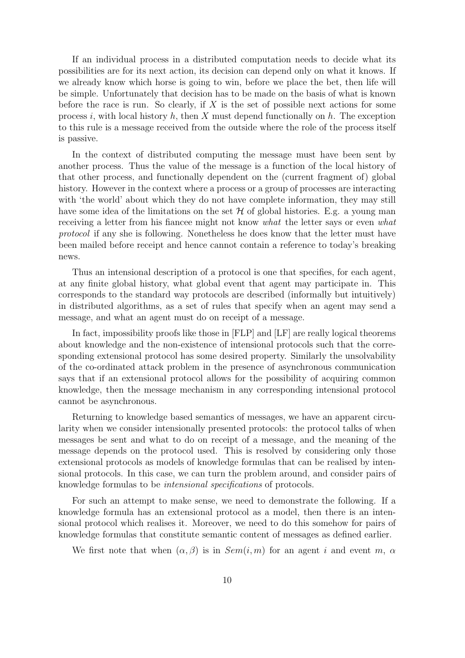If an individual process in a distributed computation needs to decide what its possibilities are for its next action, its decision can depend only on what it knows. If we already know which horse is going to win, before we place the bet, then life will be simple. Unfortunately that decision has to be made on the basis of what is known before the race is run. So clearly, if  $X$  is the set of possible next actions for some process i, with local history h, then X must depend functionally on h. The exception to this rule is a message received from the outside where the role of the process itself is passive.

In the context of distributed computing the message must have been sent by another process. Thus the value of the message is a function of the local history of that other process, and functionally dependent on the (current fragment of) global history. However in the context where a process or a group of processes are interacting with 'the world' about which they do not have complete information, they may still have some idea of the limitations on the set  $H$  of global histories. E.g. a young man receiving a letter from his fiancee might not know what the letter says or even what protocol if any she is following. Nonetheless he does know that the letter must have been mailed before receipt and hence cannot contain a reference to today's breaking news.

Thus an intensional description of a protocol is one that specifies, for each agent, at any finite global history, what global event that agent may participate in. This corresponds to the standard way protocols are described (informally but intuitively) in distributed algorithms, as a set of rules that specify when an agent may send a message, and what an agent must do on receipt of a message.

In fact, impossibility proofs like those in [FLP] and [LF] are really logical theorems about knowledge and the non-existence of intensional protocols such that the corresponding extensional protocol has some desired property. Similarly the unsolvability of the co-ordinated attack problem in the presence of asynchronous communication says that if an extensional protocol allows for the possibility of acquiring common knowledge, then the message mechanism in any corresponding intensional protocol cannot be asynchronous.

Returning to knowledge based semantics of messages, we have an apparent circularity when we consider intensionally presented protocols: the protocol talks of when messages be sent and what to do on receipt of a message, and the meaning of the message depends on the protocol used. This is resolved by considering only those extensional protocols as models of knowledge formulas that can be realised by intensional protocols. In this case, we can turn the problem around, and consider pairs of knowledge formulas to be intensional specifications of protocols.

For such an attempt to make sense, we need to demonstrate the following. If a knowledge formula has an extensional protocol as a model, then there is an intensional protocol which realises it. Moreover, we need to do this somehow for pairs of knowledge formulas that constitute semantic content of messages as defined earlier.

We first note that when  $(\alpha, \beta)$  is in  $Sem(i, m)$  for an agent i and event m,  $\alpha$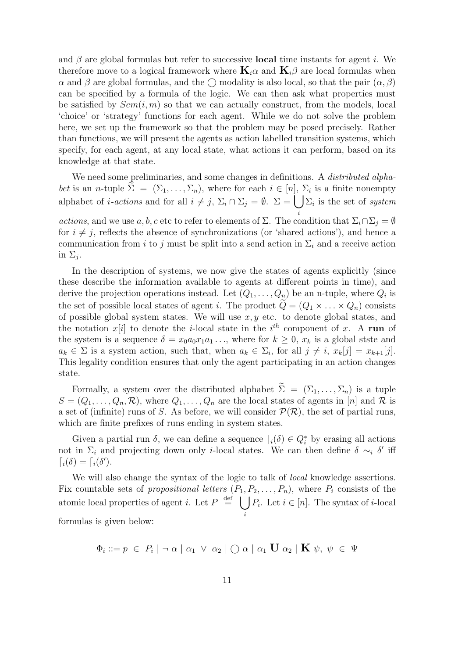and  $\beta$  are global formulas but refer to successive **local** time instants for agent i. We therefore move to a logical framework where  $\mathbf{K}_i \alpha$  and  $\mathbf{K}_i \beta$  are local formulas when  $\alpha$  and  $\beta$  are global formulas, and the  $\bigcap$  modality is also local, so that the pair  $(\alpha, \beta)$ can be specified by a formula of the logic. We can then ask what properties must be satisfied by  $Sem(i, m)$  so that we can actually construct, from the models, local 'choice' or 'strategy' functions for each agent. While we do not solve the problem here, we set up the framework so that the problem may be posed precisely. Rather than functions, we will present the agents as action labelled transition systems, which specify, for each agent, at any local state, what actions it can perform, based on its knowledge at that state.

We need some preliminaries, and some changes in definitions. A *distributed alpha*bet is an n-tuple  $\Sigma = (\Sigma_1, \ldots, \Sigma_n)$ , where for each  $i \in [n]$ ,  $\Sigma_i$  is a finite nonempty alphabet of *i*-actions and for all  $i \neq j$ ,  $\Sigma_i \cap \Sigma_j = \emptyset$ .  $\Sigma = \bigcup \Sigma_i$  is the set of system i actions, and we use a, b, c etc to refer to elements of  $\Sigma$ . The condition that  $\Sigma_i \cap \Sigma_j = \emptyset$ for  $i \neq j$ , reflects the absence of synchronizations (or 'shared actions'), and hence a communication from i to j must be split into a send action in  $\Sigma_i$  and a receive action in  $\Sigma_j$ .

In the description of systems, we now give the states of agents explicitly (since these describe the information available to agents at different points in time), and derive the projection operations instead. Let  $(Q_1, \ldots, Q_n)$  be an n-tuple, where  $Q_i$  is the set of possible local states of agent i. The product  $Q = (Q_1 \times \ldots \times Q_n)$  consists of possible global system states. We will use  $x, y$  etc. to denote global states, and the notation  $x[i]$  to denote the *i*-local state in the *i*<sup>th</sup> component of x. A run of the system is a sequence  $\delta = x_0 a_0 x_1 a_1 \dots$ , where for  $k \geq 0$ ,  $x_k$  is a global stste and  $a_k \in \Sigma$  is a system action, such that, when  $a_k \in \Sigma_i$ , for all  $j \neq i$ ,  $x_k[j] = x_{k+1}[j]$ . This legality condition ensures that only the agent participating in an action changes state.

Formally, a system over the distributed alphabet  $\widetilde{\Sigma} = (\Sigma_1, \ldots, \Sigma_n)$  is a tuple  $S = (Q_1, \ldots, Q_n, \mathcal{R})$ , where  $Q_1, \ldots, Q_n$  are the local states of agents in [n] and  $\mathcal R$  is a set of (infinite) runs of S. As before, we will consider  $\mathcal{P}(\mathcal{R})$ , the set of partial runs, which are finite prefixes of runs ending in system states.

Given a partial run  $\delta$ , we can define a sequence  $\lceil i(\delta) \in Q_i^*$  by erasing all actions not in  $\Sigma_i$  and projecting down only *i*-local states. We can then define  $\delta \sim_i \delta'$  iff  $\lceil i(\delta) = \lceil i(\delta').$ 

We will also change the syntax of the logic to talk of *local* knowledge assertions. Fix countable sets of propositional letters  $(P_1, P_2, \ldots, P_n)$ , where  $P_i$  consists of the atomic local properties of agent *i*. Let  $P \stackrel{\text{def}}{=} \left[ \begin{array}{c} \end{array} \right]$ i  $P_i$ . Let  $i \in [n]$ . The syntax of *i*-local formulas is given below:

 $\begin{array}{l} \Phi_i ::= p \ \in \ P_i \mid \neg \ \alpha \mid \alpha_1 \ \vee \ \alpha_2 \mid \bigcirc \alpha \mid \alpha_1 \ \mathbf{U} \ \alpha_2 \mid \mathbf{K} \ \psi, \ \psi \ \in \ \Psi \end{array}$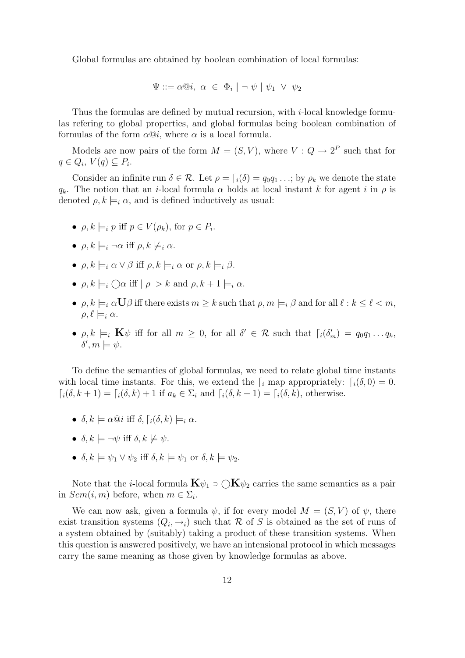Global formulas are obtained by boolean combination of local formulas:

$$
\Psi ::= \alpha @ i, \ \alpha \in \Phi_i \mid \neg \ \psi \mid \psi_1 \ \vee \ \psi_2
$$

Thus the formulas are defined by mutual recursion, with i-local knowledge formulas refering to global properties, and global formulas being boolean combination of formulas of the form  $\alpha \mathcal{Q}i$ , where  $\alpha$  is a local formula.

Models are now pairs of the form  $M = (S, V)$ , where  $V: Q \to 2^P$  such that for  $q \in Q_i$ ,  $V(q) \subseteq P_i$ .

Consider an infinite run  $\delta \in \mathcal{R}$ . Let  $\rho = \int_i(\delta) = q_0 q_1 \dots$ ; by  $\rho_k$  we denote the state  $q_k$ . The notion that an *i*-local formula  $\alpha$  holds at local instant k for agent i in  $\rho$  is denoted  $\rho, k \models_i \alpha$ , and is defined inductively as usual:

- $\rho, k \models_i p \text{ iff } p \in V(\rho_k), \text{ for } p \in P_i.$
- $\rho, k \models_i \neg \alpha$  iff  $\rho, k \not\models_i \alpha$ .
- $\rho, k \models_i \alpha \vee \beta$  iff  $\rho, k \models_i \alpha$  or  $\rho, k \models_i \beta$ .
- $\rho, k \models_i \bigcap \alpha$  iff  $|\rho| > k$  and  $\rho, k + 1 \models_i \alpha$ .
- $\rho, k \models_i \alpha \mathbf{U}\beta$  iff there exists  $m \geq k$  such that  $\rho, m \models_i \beta$  and for all  $\ell : k \leq \ell < m$ ,  $\rho, \ell \models_i \alpha$ .
- $\rho, k \models_i \mathbf{K} \psi$  iff for all  $m \geq 0$ , for all  $\delta' \in \mathcal{R}$  such that  $\lceil i(\delta'_m) \rceil = q_0 q_1 \dots q_k$ ,  $\delta', m \models \psi.$

To define the semantics of global formulas, we need to relate global time instants with local time instants. For this, we extend the  $\int_i$  map appropriately:  $\int_i(\delta, 0) = 0$ .  $a_i(\delta, k + 1) = \delta_i(\delta, k) + 1$  if  $a_k \in \Sigma_i$  and  $\delta_i(\delta, k + 1) = \delta_i(\delta, k)$ , otherwise.

- $\delta, k \models \alpha \mathbb{Q} i$  iff  $\delta, \lceil i(\delta, k) \models_i \alpha$ .
- $\delta, k \models \neg \psi$  iff  $\delta, k \not\models \psi$ .
- $\delta, k \models \psi_1 \vee \psi_2$  iff  $\delta, k \models \psi_1$  or  $\delta, k \models \psi_2$ .

Note that the *i*-local formula  $\mathbf{K}\psi_1 \supset \bigcirc \mathbf{K}\psi_2$  carries the same semantics as a pair in  $Sem(i, m)$  before, when  $m \in \Sigma_i$ .

We can now ask, given a formula  $\psi$ , if for every model  $M = (S, V)$  of  $\psi$ , there exist transition systems  $(Q_i, \rightarrow_i)$  such that R of S is obtained as the set of runs of a system obtained by (suitably) taking a product of these transition systems. When this question is answered positively, we have an intensional protocol in which messages carry the same meaning as those given by knowledge formulas as above.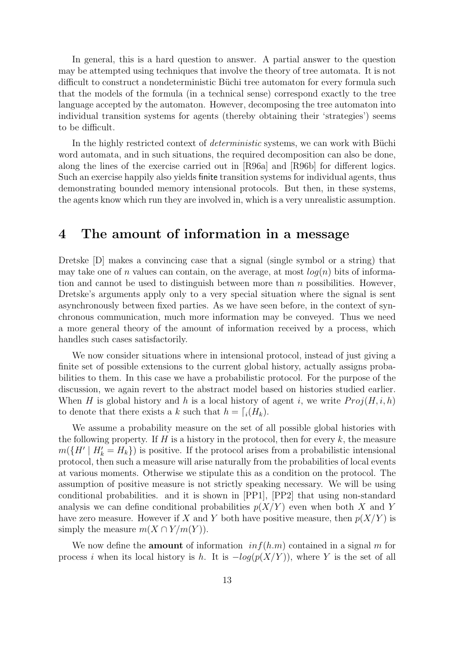In general, this is a hard question to answer. A partial answer to the question may be attempted using techniques that involve the theory of tree automata. It is not difficult to construct a nondeterministic Büchi tree automaton for every formula such that the models of the formula (in a technical sense) correspond exactly to the tree language accepted by the automaton. However, decomposing the tree automaton into individual transition systems for agents (thereby obtaining their 'strategies') seems to be difficult.

In the highly restricted context of *deterministic* systems, we can work with Büchi word automata, and in such situations, the required decomposition can also be done, along the lines of the exercise carried out in [R96a] and [R96b] for different logics. Such an exercise happily also yields finite transition systems for individual agents, thus demonstrating bounded memory intensional protocols. But then, in these systems, the agents know which run they are involved in, which is a very unrealistic assumption.

### 4 The amount of information in a message

Dretske [D] makes a convincing case that a signal (single symbol or a string) that may take one of n values can contain, on the average, at most  $log(n)$  bits of information and cannot be used to distinguish between more than  $n$  possibilities. However, Dretske's arguments apply only to a very special situation where the signal is sent asynchronously between fixed parties. As we have seen before, in the context of synchronous communication, much more information may be conveyed. Thus we need a more general theory of the amount of information received by a process, which handles such cases satisfactorily.

We now consider situations where in intensional protocol, instead of just giving a finite set of possible extensions to the current global history, actually assigns probabilities to them. In this case we have a probabilistic protocol. For the purpose of the discussion, we again revert to the abstract model based on histories studied earlier. When H is global history and h is a local history of agent i, we write  $Proj(H, i, h)$ to denote that there exists a k such that  $h = \lceil i(H_k) \rceil$ .

We assume a probability measure on the set of all possible global histories with the following property. If  $H$  is a history in the protocol, then for every  $k$ , the measure  $m({H' | H'_{k} = H_{k}})$  is positive. If the protocol arises from a probabilistic intensional protocol, then such a measure will arise naturally from the probabilities of local events at various moments. Otherwise we stipulate this as a condition on the protocol. The assumption of positive measure is not strictly speaking necessary. We will be using conditional probabilities. and it is shown in [PP1], [PP2] that using non-standard analysis we can define conditional probabilities  $p(X/Y)$  even when both X and Y have zero measure. However if X and Y both have positive measure, then  $p(X|Y)$  is simply the measure  $m(X \cap Y/m(Y))$ .

We now define the **amount** of information  $inf(h.m)$  contained in a signal m for process i when its local history is h. It is  $-log(p(X/Y))$ , where Y is the set of all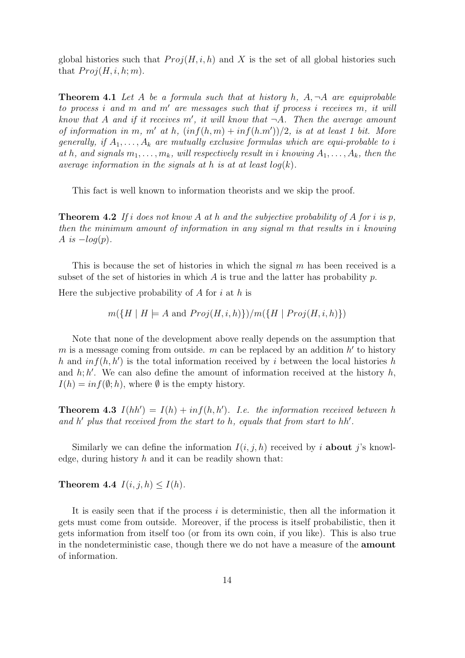global histories such that  $Proj(H, i, h)$  and X is the set of all global histories such that  $Proj(H, i, h; m)$ .

**Theorem 4.1** Let A be a formula such that at history h,  $A, \neg A$  are equiprobable to process i and m and m' are messages such that if process i receives m, it will know that A and if it receives m', it will know that  $\neg A$ . Then the average amount of information in m, m' at h,  $(inf(h, m) + inf(h.m'))/2$ , is at at least 1 bit. More generally, if  $A_1, \ldots, A_k$  are mutually exclusive formulas which are equi-probable to i at h, and signals  $m_1, \ldots, m_k$ , will respectively result in i knowing  $A_1, \ldots, A_k$ , then the average information in the signals at h is at at least  $log(k)$ .

This fact is well known to information theorists and we skip the proof.

**Theorem 4.2** If i does not know A at h and the subjective probability of A for i is p, then the minimum amount of information in any signal m that results in i knowing A is  $-log(p)$ .

This is because the set of histories in which the signal  $m$  has been received is a subset of the set of histories in which  $A$  is true and the latter has probability  $p$ .

Here the subjective probability of  $A$  for  $i$  at  $h$  is

 $m({H \mid H \models A \text{ and } Proj(H, i, h)})/m({H \mid Proj(H, i, h)})$ 

Note that none of the development above really depends on the assumption that m is a message coming from outside.  $m$  can be replaced by an addition  $h'$  to history h and  $inf(h, h')$  is the total information received by i between the local histories h and  $h; h'$ . We can also define the amount of information received at the history  $h$ ,  $I(h) = \inf(\emptyset; h)$ , where  $\emptyset$  is the empty history.

**Theorem 4.3**  $I(hh') = I(h) + inf(h, h')$ . I.e. the information received between h and  $h'$  plus that received from the start to  $h$ , equals that from start to  $hh'$ .

Similarly we can define the information  $I(i, j, h)$  received by i **about** j's knowledge, during history  $h$  and it can be readily shown that:

Theorem 4.4  $I(i, j, h) \leq I(h)$ .

It is easily seen that if the process  $i$  is deterministic, then all the information it gets must come from outside. Moreover, if the process is itself probabilistic, then it gets information from itself too (or from its own coin, if you like). This is also true in the nondeterministic case, though there we do not have a measure of the amount of information.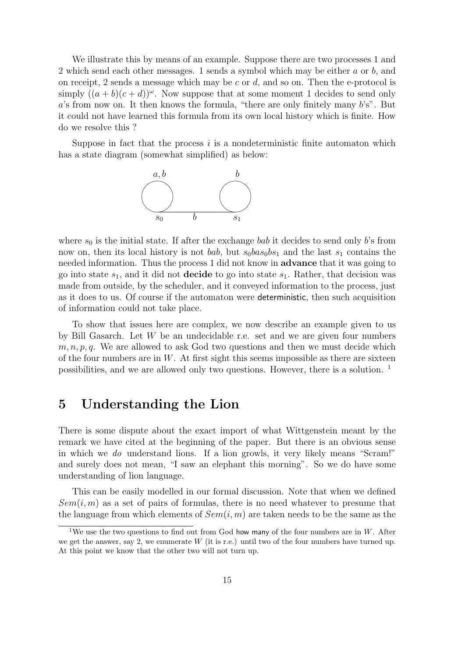We illustrate this by means of an example. Suppose there are two processes 1 and 2 which send each other messages. 1 sends a symbol which may be either a or b, and on receipt, 2 sends a message which may be c or  $d$ , and so on. Then the e-protocol is simply  $((a + b)(c + d))^{\omega}$ . Now suppose that at some moment 1 decides to send only  $a$ 's from now on. It then knows the formula, "there are only finitely many  $b$ 's". But it could not have learned this formula from its own local history which is finite. How do we resolve this ?

Suppose in fact that the process  $i$  is a nondeterministic finite automaton which has a state diagram (somewhat simplified) as below:



where  $s_0$  is the initial state. If after the exchange bab it decides to send only b's from now on, then its local history is not bab, but  $s_0$ bas $_0$ bs<sub>1</sub> and the last s<sub>1</sub> contains the needed information. Thus the process 1 did not know in advance that it was going to go into state  $s_1$ , and it did not **decide** to go into state  $s_1$ . Rather, that decision was made from outside, by the scheduler, and it conveyed information to the process, just as it does to us. Of course if the automaton were deterministic, then such acquisition of information could not take place.

To show that issues here are complex, we now describe an example given to us by Bill Gasarch. Let  $W$  be an undecidable r.e. set and we are given four numbers  $m, n, p, q$ . We are allowed to ask God two questions and then we must decide which of the four numbers are in  $W$ . At first sight this seems impossible as there are sixteen possibilities, and we are allowed only two questions. However, there is a solution. <sup>1</sup>

### 5 Understanding the Lion

There is some dispute about the exact import of what Wittgenstein meant by the remark we have cited at the beginning of the paper. But there is an obvious sense in which we do understand lions. If a lion growls, it very likely means "Scram!" and surely does not mean, "I saw an elephant this morning". So we do have some understanding of lion language.

This can be easily modelled in our formal discussion. Note that when we defined  $Sem(i, m)$  as a set of pairs of formulas, there is no need whatever to presume that the language from which elements of  $Sem(i, m)$  are taken needs to be the same as the

<sup>&</sup>lt;sup>1</sup>We use the two questions to find out from God how many of the four numbers are in W. After we get the answer, say 2, we enumerate  $W$  (it is r.e.) until two of the four numbers have turned up. At this point we know that the other two will not turn up.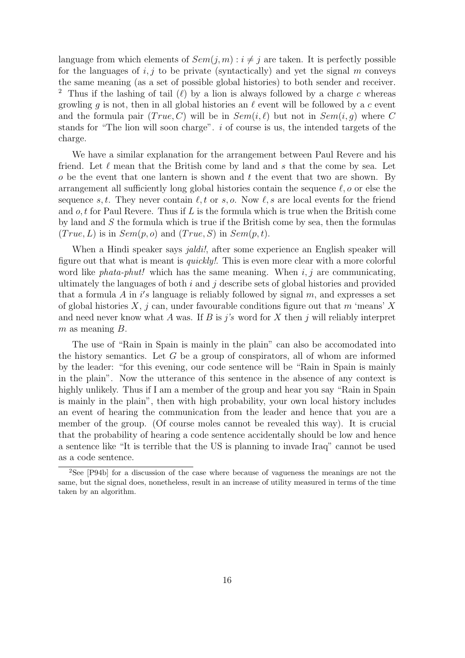language from which elements of  $Sem(j, m) : i \neq j$  are taken. It is perfectly possible for the languages of  $i, j$  to be private (syntactically) and yet the signal m conveys the same meaning (as a set of possible global histories) to both sender and receiver. <sup>2</sup> Thus if the lashing of tail  $(\ell)$  by a lion is always followed by a charge c whereas growling q is not, then in all global histories an  $\ell$  event will be followed by a c event and the formula pair  $(True, C)$  will be in  $Sem(i, \ell)$  but not in  $Sem(i, q)$  where C stands for "The lion will soon charge". i of course is us, the intended targets of the charge.

We have a similar explanation for the arrangement between Paul Revere and his friend. Let  $\ell$  mean that the British come by land and s that the come by sea. Let  $\sigma$  be the event that one lantern is shown and t the event that two are shown. By arrangement all sufficiently long global histories contain the sequence  $\ell$ , o or else the sequence s, t. They never contain  $\ell, t$  or s, o. Now  $\ell, s$  are local events for the friend and  $o, t$  for Paul Revere. Thus if  $L$  is the formula which is true when the British come by land and S the formula which is true if the British come by sea, then the formulas  $(True, L)$  is in  $Sem(p, o)$  and  $(True, S)$  in  $Sem(p, t)$ .

When a Hindi speaker says *jaldi!*, after some experience an English speaker will figure out that what is meant is quickly!. This is even more clear with a more colorful word like *phata-phut!* which has the same meaning. When  $i, j$  are communicating, ultimately the languages of both  $i$  and  $j$  describe sets of global histories and provided that a formula  $A$  in i's language is reliably followed by signal  $m$ , and expresses a set of global histories  $X$ , j can, under favourable conditions figure out that m 'means' X and need never know what A was. If B is j's word for X then j will reliably interpret  $m$  as meaning  $B$ .

The use of "Rain in Spain is mainly in the plain" can also be accomodated into the history semantics. Let  $G$  be a group of conspirators, all of whom are informed by the leader: "for this evening, our code sentence will be "Rain in Spain is mainly in the plain". Now the utterance of this sentence in the absence of any context is highly unlikely. Thus if I am a member of the group and hear you say "Rain in Spain is mainly in the plain", then with high probability, your own local history includes an event of hearing the communication from the leader and hence that you are a member of the group. (Of course moles cannot be revealed this way). It is crucial that the probability of hearing a code sentence accidentally should be low and hence a sentence like "It is terrible that the US is planning to invade Iraq" cannot be used as a code sentence.

<sup>2</sup>See [P94b] for a discussion of the case where because of vagueness the meanings are not the same, but the signal does, nonetheless, result in an increase of utility measured in terms of the time taken by an algorithm.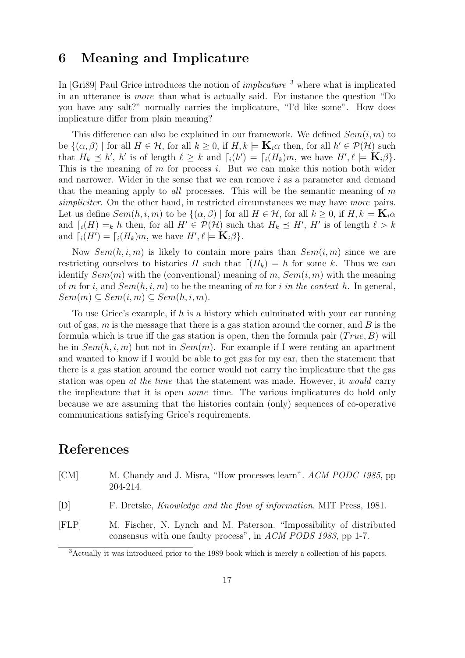### 6 Meaning and Implicature

In [Gri89] Paul Grice introduces the notion of *implicature*  $<sup>3</sup>$  where what is implicated</sup> in an utterance is more than what is actually said. For instance the question "Do you have any salt?" normally carries the implicature, "I'd like some". How does implicature differ from plain meaning?

This difference can also be explained in our framework. We defined  $Sem(i, m)$  to be  $\{(\alpha, \beta) \mid \text{for all } H \in \mathcal{H}, \text{ for all } k \geq 0, \text{ if } H, k \models \mathbf{K}_i \alpha \text{ then, for all } h' \in \mathcal{P}(\mathcal{H}) \text{ such that } h' \in \mathcal{H}(\mathcal{H}) \text{ for all } h' \in \mathcal{H}(\mathcal{H}) \text{ such that } h' \in \mathcal{H}(\mathcal{H}) \text{ such that } h' \in \mathcal{H}(\mathcal{H}) \text{ such that } h' \in \mathcal{H}(\mathcal{H}) \text{ such that } h' \in \mathcal{H}(\mathcal{H}) \text{ such$ that  $H_k \preceq h'$ , h' is of length  $\ell \geq k$  and  $\lceil i(h') \rceil = \lceil i(H_k)m$ , we have  $H', \ell \models \mathbf{K}_i\beta$ . This is the meaning of  $m$  for process  $i$ . But we can make this notion both wider and narrower. Wider in the sense that we can remove i as a parameter and demand that the meaning apply to *all* processes. This will be the semantic meaning of  $m$ simpliciter. On the other hand, in restricted circumstances we may have more pairs. Let us define  $Sem(h, i, m)$  to be  $\{(\alpha, \beta) \mid \text{for all } H \in \mathcal{H} \text{, for all } k \geq 0, \text{ if } H, k \models \mathbf{K}_i \alpha$ and  $\lceil \eta(H) \rceil = k$  h then, for all  $H' \in \mathcal{P}(\mathcal{H})$  such that  $H_k \preceq H'$ ,  $H'$  is of length  $\ell > k$ and  $\lceil_i(H')\rceil = \lceil_i(H_k)m$ , we have  $H', \ell \models \mathbf{K}_i\beta$ .

Now  $Sem(h, i, m)$  is likely to contain more pairs than  $Sem(i, m)$  since we are restricting ourselves to histories H such that  $\left[\left(H_k\right) = h$  for some k. Thus we can identify  $Sem(m)$  with the (conventional) meaning of m,  $Sem(i, m)$  with the meaning of m for i, and  $Sem(h, i, m)$  to be the meaning of m for i in the context h. In general,  $Sem(m) \subseteq Sem(i, m) \subseteq Sem(h, i, m).$ 

To use Grice's example, if h is a history which culminated with your car running out of gas,  $m$  is the message that there is a gas station around the corner, and  $B$  is the formula which is true iff the gas station is open, then the formula pair  $(True, B)$  will be in  $Sem(h, i, m)$  but not in  $Sem(m)$ . For example if I were renting an apartment and wanted to know if I would be able to get gas for my car, then the statement that there is a gas station around the corner would not carry the implicature that the gas station was open at the time that the statement was made. However, it would carry the implicature that it is open some time. The various implicatures do hold only because we are assuming that the histories contain (only) sequences of co-operative communications satisfying Grice's requirements.

### References

- [CM] M. Chandy and J. Misra, "How processes learn". ACM PODC 1985, pp 204-214. [D] F. Dretske, Knowledge and the flow of information, MIT Press, 1981. [FLP] M. Fischer, N. Lynch and M. Paterson. "Impossibility of distributed
- consensus with one faulty process", in ACM PODS 1983, pp 1-7.

<sup>3</sup>Actually it was introduced prior to the 1989 book which is merely a collection of his papers.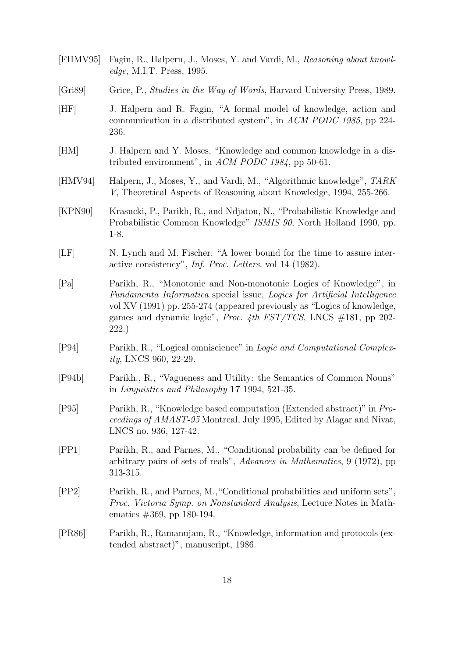- [FHMV95] Fagin, R., Halpern, J., Moses, Y. and Vardi, M., Reasoning about knowledge, M.I.T. Press, 1995.
- [Gri89] Grice, P., *Studies in the Way of Words*, Harvard University Press, 1989.
- [HF] J. Halpern and R. Fagin, "A formal model of knowledge, action and communication in a distributed system", in ACM PODC 1985, pp 224- 236.
- [HM] J. Halpern and Y. Moses, "Knowledge and common knowledge in a distributed environment", in ACM PODC 1984, pp 50-61.
- [HMV94] Halpern, J., Moses, Y., and Vardi, M., "Algorithmic knowledge", TARK V, Theoretical Aspects of Reasoning about Knowledge, 1994, 255-266.
- [KPN90] Krasucki, P., Parikh, R., and Ndjatou, N., "Probabilistic Knowledge and Probabilistic Common Knowledge" ISMIS 90, North Holland 1990, pp. 1-8.
- [LF] N. Lynch and M. Fischer. "A lower bound for the time to assure interactive consistency", Inf. Proc. Letters. vol 14 (1982).
- [Pa] Parikh, R., "Monotonic and Non-monotonic Logics of Knowledge", in Fundamenta Informatica special issue, Logics for Artificial Intelligence vol XV (1991) pp. 255-274 (appeared previously as "Logics of knowledge, games and dynamic logic", Proc. 4th FST/TCS, LNCS #181, pp 202- 222.)
- [P94] Parikh, R., "Logical omniscience" in Logic and Computational Complexity, LNCS 960, 22-29.
- [P94b] Parikh., R., "Vagueness and Utility: the Semantics of Common Nouns" in Linguistics and Philosophy 17 1994, 521-35.
- [P95] Parikh, R., "Knowledge based computation (Extended abstract)" in Proceedings of AMAST-95 Montreal, July 1995, Edited by Alagar and Nivat, LNCS no. 936, 127-42.
- [PP1] Parikh, R., and Parnes, M., "Conditional probability can be defined for arbitrary pairs of sets of reals", Advances in Mathematics, 9 (1972), pp 313-315.
- [PP2] Parikh, R., and Parnes, M.,"Conditional probabilities and uniform sets", Proc. Victoria Symp. on Nonstandard Analysis, Lecture Notes in Mathematics #369, pp 180-194.
- [PR86] Parikh, R., Ramanujam, R., "Knowledge, information and protocols (extended abstract)", manuscript, 1986.